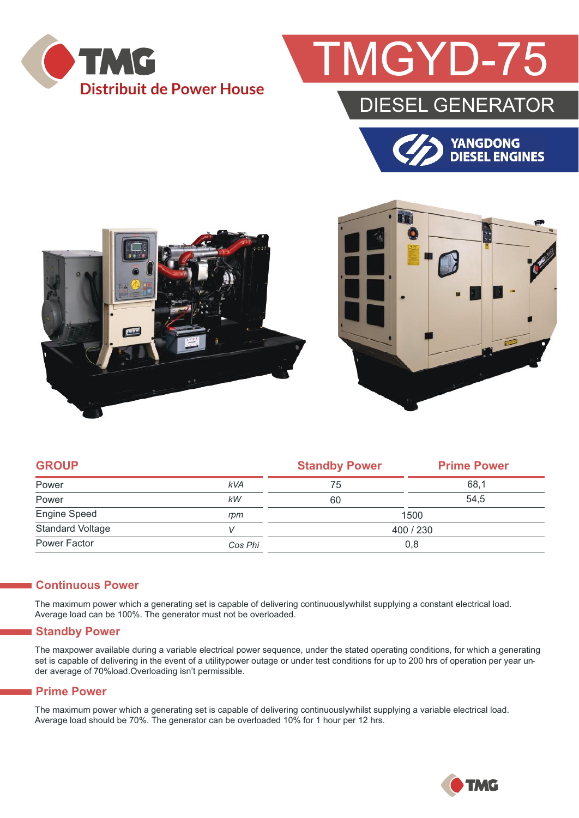

# **GYD-75**

### DIESEL GENERATOR







| <b>GROUP</b>            |            | <b>Standby Power</b> | <b>Prime Power</b> |  |
|-------------------------|------------|----------------------|--------------------|--|
| Power                   | <b>kVA</b> | 75                   | 68,1               |  |
| Power                   | kW         | 60                   | 54,5               |  |
| Engine Speed            | rpm        | 1500                 |                    |  |
| <b>Standard Voltage</b> | V          | 400 / 230            |                    |  |
| Power Factor            | Cos Phi    | 0,8                  |                    |  |

#### **Continuous Power**

The maximum power which a generating set is capable of delivering continuouslywhilst supplying a constant electrical load. Average load can be 100%. The generator must not be overloaded.

#### **Standby Power**

The maxpower available during a variable electrical power sequence, under the stated operating conditions, for which a generating set is capable of delivering in the event of a utilitypower outage or under test conditions for up to 200 hrs of operation per year under average of 70%load.Overloading isn't permissible.

#### **Prime Power**

The maximum power which a generating set is capable of delivering continuouslywhilst supplying a variable electrical load. Average load should be 70%. The generator can be overloaded 10% for 1 hour per 12 hrs.

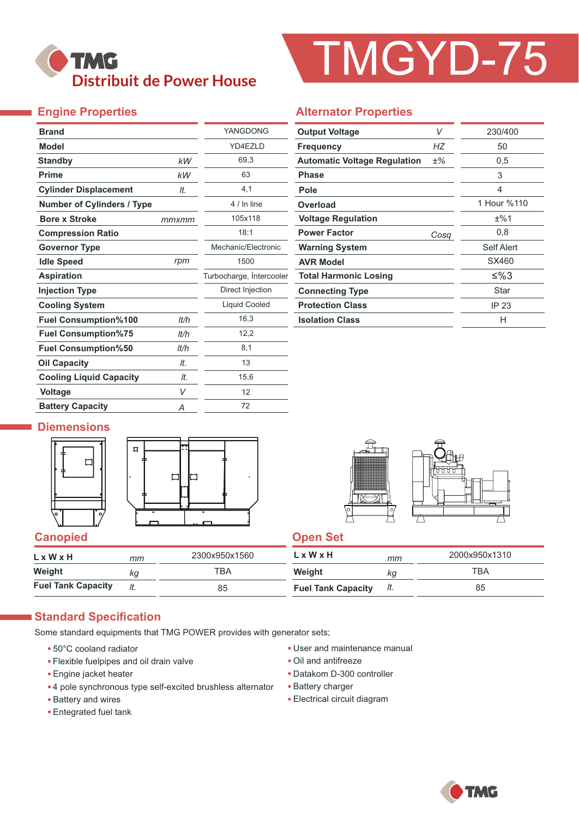### **TMG Distribuit de Power House**

# TMGYD-75

#### **Engine Properties**

| <b>Brand</b>                      |       | YANGDONG                 |  |  |
|-----------------------------------|-------|--------------------------|--|--|
| <b>Model</b>                      |       | YD4EZLD                  |  |  |
| <b>Standby</b>                    | kW    | 69,3                     |  |  |
| <b>Prime</b>                      | kW    | 63                       |  |  |
| <b>Cylinder Displacement</b>      | It.   | 4,1                      |  |  |
| <b>Number of Cylinders / Type</b> |       | 4 / In line              |  |  |
| <b>Bore x Stroke</b>              | mmxmm | 105x118                  |  |  |
| <b>Compression Ratio</b>          |       | 18:1                     |  |  |
| <b>Governor Type</b>              |       | Mechanic/Flectronic      |  |  |
| <b>Idle Speed</b>                 | rpm   | 1500                     |  |  |
| <b>Aspiration</b>                 |       | Turbocharge, Intercooler |  |  |
| <b>Injection Type</b>             |       | Direct Injection         |  |  |
| <b>Cooling System</b>             |       | Liquid Cooled            |  |  |
| <b>Fuel Consumption%100</b>       | lt/h  | 16,3                     |  |  |
| <b>Fuel Consumption%75</b>        | lt/h  | 12,2                     |  |  |
| <b>Fuel Consumption%50</b>        | lt/h  | 8,1                      |  |  |
| <b>Oil Capacity</b>               | It.   | 13                       |  |  |
| <b>Cooling Liquid Capacity</b>    | It.   | 15,6                     |  |  |
| <b>Voltage</b>                    | V     | 12                       |  |  |
| <b>Battery Capacity</b>           | Α     | 72                       |  |  |

#### **Alternator Properties**

| <b>Output Voltage</b>               | V     | 230/400     |  |
|-------------------------------------|-------|-------------|--|
| <b>Frequency</b>                    | НZ    | 50          |  |
| <b>Automatic Voltage Regulation</b> | $±\%$ | 0,5         |  |
| <b>Phase</b>                        |       | 3           |  |
| Pole                                |       | 4           |  |
| Overload                            |       | 1 Hour %110 |  |
| <b>Voltage Regulation</b>           |       | ±%1         |  |
| <b>Power Factor</b>                 | Cosq  | 0,8         |  |
| <b>Warning System</b>               |       | Self Alert  |  |
| <b>AVR Model</b>                    |       | SX460       |  |
| <b>Total Harmonic Losing</b>        |       | ≤%3         |  |
| <b>Connecting Type</b>              |       | Star        |  |
| <b>Protection Class</b>             |       | IP 23       |  |
| <b>Isolation Class</b>              |       | н           |  |

#### **Diemensions**







| $L \times W \times H$     | mт  | 2300x950x1560 | L x W x H                 | mm  | 2000x950x1310 |
|---------------------------|-----|---------------|---------------------------|-----|---------------|
| Weight                    | kg  | тва           | Weight                    | ΚG  | TBA           |
| <b>Fuel Tank Capacity</b> | It. | 85            | <b>Fuel Tank Capacity</b> | It. | 85            |

#### **Standard Specification**

Some standard equipments that TMG POWER provides with generator sets;

- 50°C cooland radiator
- Flexible fuelpipes and oil drain valve
- Engine jacket heater
- 4 pole synchronous type self-excited brushless alternator
- Battery and wires
- Entegrated fuel tank
- User and maintenance manual
- Oil and antifreeze
- Datakom D-300 controller
- Battery charger
- Electrical circuit diagram